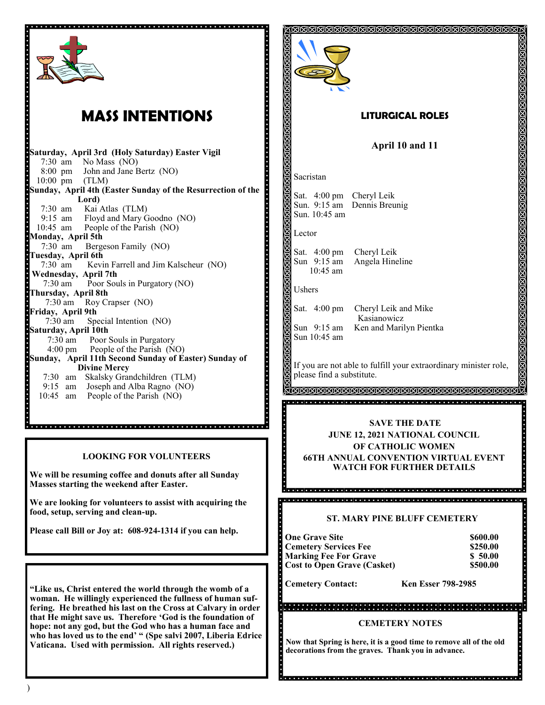